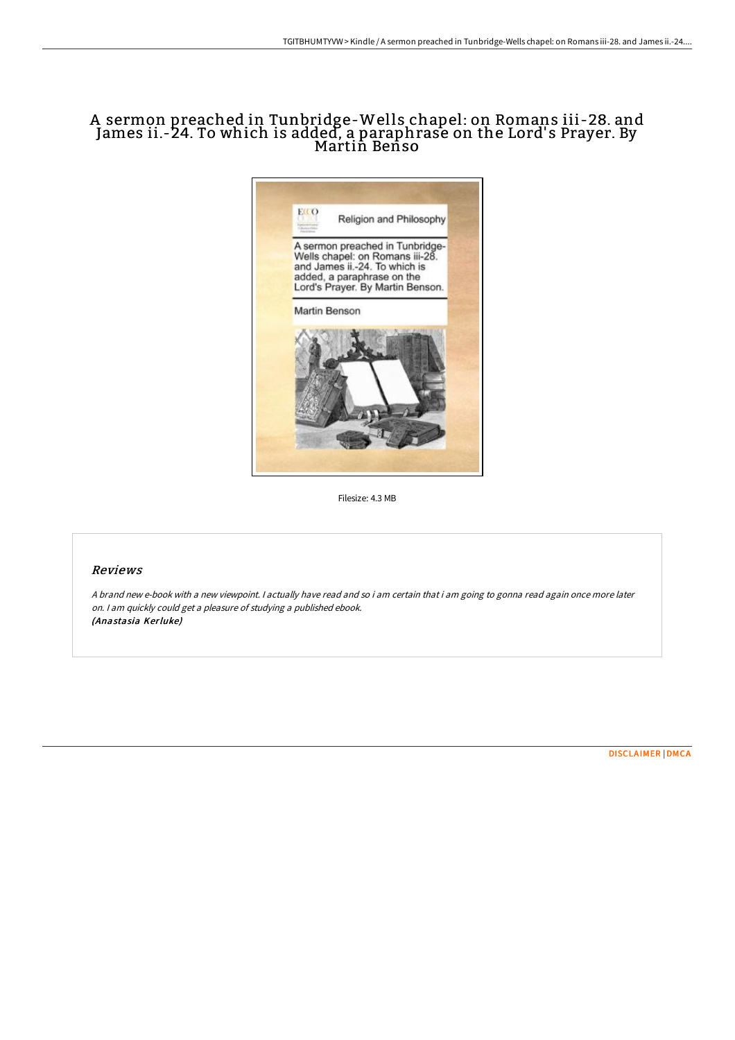# A sermon preached in Tunbridge-Wells chapel: on Romans iii-28. and James ii.-24. To which is added, <sup>a</sup> paraphrase on the Lord' <sup>s</sup> Prayer. By Martin Benso



Filesize: 4.3 MB

## Reviews

A brand new e-book with <sup>a</sup> new viewpoint. I actually have read and so i am certain that i am going to gonna read again once more later on. <sup>I</sup> am quickly could get <sup>a</sup> pleasure of studying <sup>a</sup> published ebook. (Anastasia Kerluke)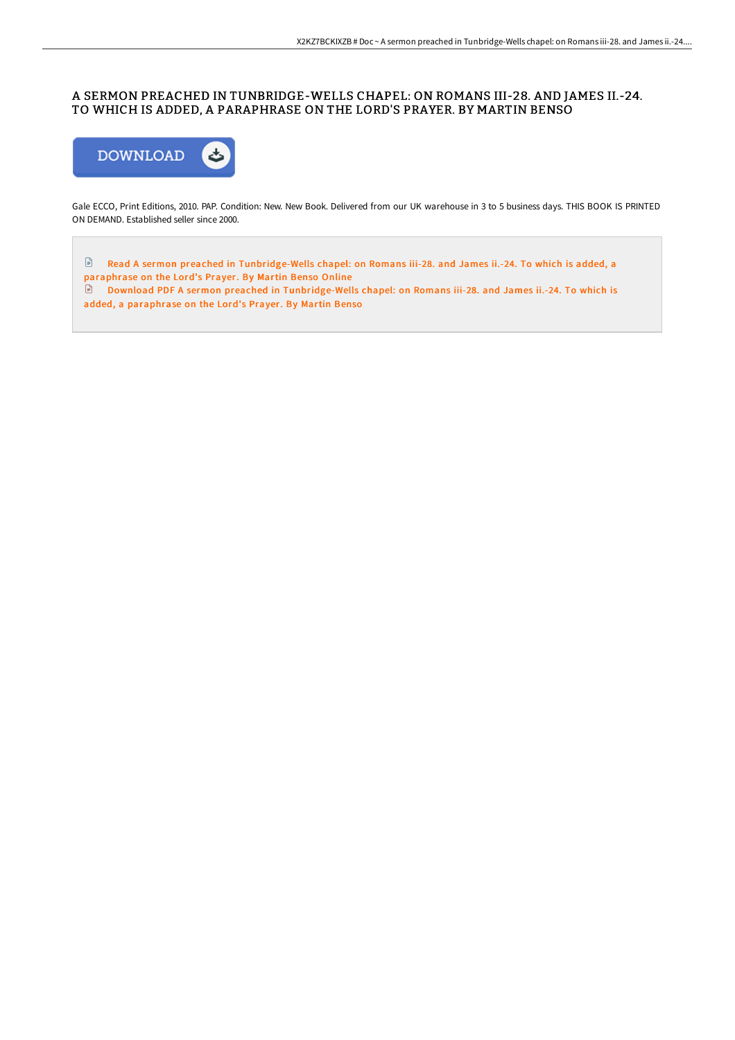## A SERMON PREACHED IN TUNBRIDGE-WELLS CHAPEL: ON ROMANS III-28. AND JAMES II.-24. TO WHICH IS ADDED, A PARAPHRASE ON THE LORD'S PRAYER. BY MARTIN BENSO



Gale ECCO, Print Editions, 2010. PAP. Condition: New. New Book. Delivered from our UK warehouse in 3 to 5 business days. THIS BOOK IS PRINTED ON DEMAND. Established seller since 2000.

Read A sermon preached in [Tunbridge-Wells](http://bookera.tech/a-sermon-preached-in-tunbridge-wells-chapel-on-r.html) chapel: on Romans iii-28. and James ii.-24. To which is added, a paraphrase on the Lord's Prayer. By Martin Benso Online

Download PDF A sermon preached in [Tunbridge-Wells](http://bookera.tech/a-sermon-preached-in-tunbridge-wells-chapel-on-r.html) chapel: on Romans iii-28. and James ii.-24. To which is added, a paraphrase on the Lord's Prayer. By Martin Benso